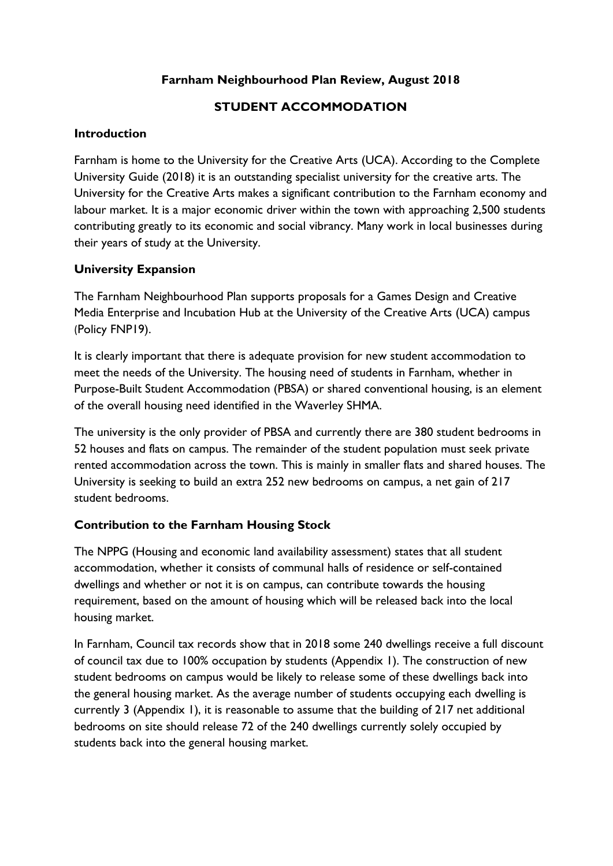### **Farnham Neighbourhood Plan Review, August 2018**

### **STUDENT ACCOMMODATION**

#### **Introduction**

Farnham is home to the University for the Creative Arts (UCA). According to the Complete University Guide (2018) it is an outstanding specialist university for the creative arts. The University for the Creative Arts makes a significant contribution to the Farnham economy and labour market. It is a major economic driver within the town with approaching 2,500 students contributing greatly to its economic and social vibrancy. Many work in local businesses during their years of study at the University.

### **University Expansion**

The Farnham Neighbourhood Plan supports proposals for a Games Design and Creative Media Enterprise and Incubation Hub at the University of the Creative Arts (UCA) campus (Policy FNP19).

It is clearly important that there is adequate provision for new student accommodation to meet the needs of the University. The housing need of students in Farnham, whether in Purpose-Built Student Accommodation (PBSA) or shared conventional housing, is an element of the overall housing need identified in the Waverley SHMA.

The university is the only provider of PBSA and currently there are 380 student bedrooms in 52 houses and flats on campus. The remainder of the student population must seek private rented accommodation across the town. This is mainly in smaller flats and shared houses. The University is seeking to build an extra 252 new bedrooms on campus, a net gain of 217 student bedrooms.

## **Contribution to the Farnham Housing Stock**

The NPPG (Housing and economic land availability assessment) states that all student accommodation, whether it consists of communal halls of residence or self-contained dwellings and whether or not it is on campus, can contribute towards the housing requirement, based on the amount of housing which will be released back into the local housing market.

In Farnham, Council tax records show that in 2018 some 240 dwellings receive a full discount of council tax due to 100% occupation by students (Appendix 1). The construction of new student bedrooms on campus would be likely to release some of these dwellings back into the general housing market. As the average number of students occupying each dwelling is currently 3 (Appendix 1), it is reasonable to assume that the building of 217 net additional bedrooms on site should release 72 of the 240 dwellings currently solely occupied by students back into the general housing market.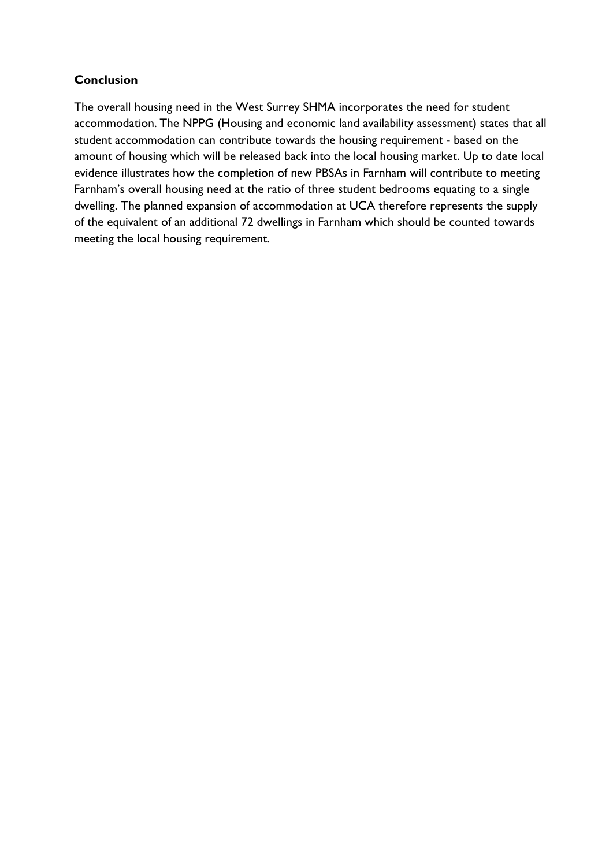# **Conclusion**

The overall housing need in the West Surrey SHMA incorporates the need for student accommodation. The NPPG (Housing and economic land availability assessment) states that all student accommodation can contribute towards the housing requirement - based on the amount of housing which will be released back into the local housing market. Up to date local evidence illustrates how the completion of new PBSAs in Farnham will contribute to meeting Farnham's overall housing need at the ratio of three student bedrooms equating to a single dwelling. The planned expansion of accommodation at UCA therefore represents the supply of the equivalent of an additional 72 dwellings in Farnham which should be counted towards meeting the local housing requirement.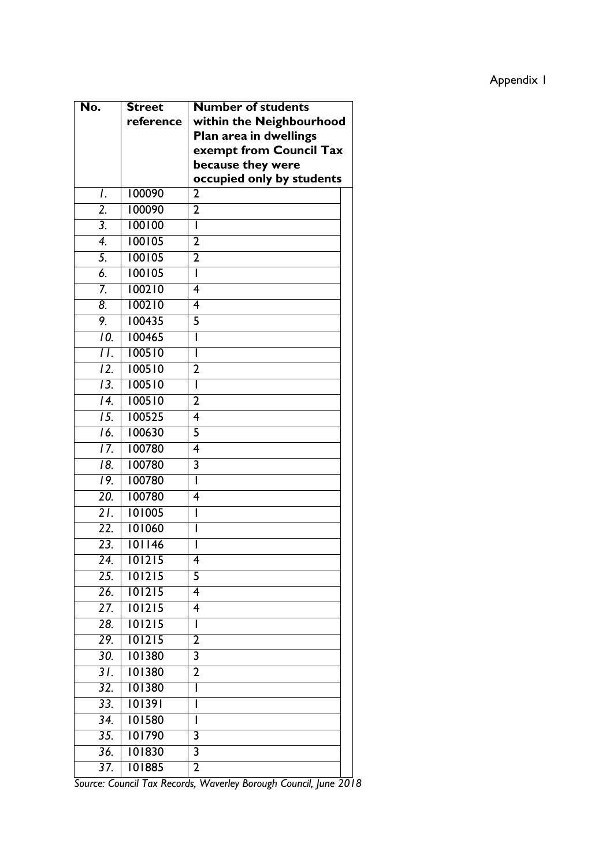| No.               | <b>Street</b> | <b>Number of students</b> |
|-------------------|---------------|---------------------------|
|                   | reference     | within the Neighbourhood  |
|                   |               | Plan area in dwellings    |
|                   |               | exempt from Council Tax   |
|                   |               | because they were         |
|                   |               | occupied only by students |
| I.                | 100090        | 2                         |
| $\overline{2}$ .  | 100090        | $\overline{2}$            |
| $\overline{3}$ .  | 100100        | I                         |
| $\overline{4}$    | 100105        | $\overline{2}$            |
| 5.                | 100105        | $\overline{2}$            |
| $\overline{6}$    | 100105        | I                         |
| 7.                | 100210        | 4                         |
| 8.                | 100210        | 4                         |
| 9.                | 100435        | 5                         |
| 10.               | 100465        | I                         |
| П.                | 100510        | I                         |
| $\overline{12}$ . | 100510        | $\overline{2}$            |
| 13.               | 100510        | I                         |
| 14.               | 100510        | $\overline{2}$            |
| $\overline{15}$ . | 100525        | 4                         |
| 16.               | 100630        | 5                         |
| $\overline{17}$ . | 100780        | $\overline{\bf{4}}$       |
| $\overline{18}$   | 100780        | 3                         |
| 19.               | 100780        | I                         |
| $\overline{20}$ . | 100780        | 4                         |
| $\overline{21}$ . | 101005        | I                         |
| $\overline{22}$ . | 101060        | I                         |
| 23.               | 101146        | I                         |
| $\overline{24}$ . | 101215        | 4                         |
| 25.               | 101215        | 5                         |
| 26.               | 101215        | 4                         |
| 27.               | 101215        | 4                         |
| 28.               | 101215        | I                         |
| 29.               | 101215        | $\overline{2}$            |
| 30.               | 101380        | 3                         |
| $\overline{31}$ . | 101380        | 2                         |
| 32.               | 101380        | I                         |
| 33.               | 101391        | I                         |
| 34.               | 101580        | I                         |
| 35.               | 101790        | 3                         |
| 36.               | 101830        | 3                         |
| 37.               | 101885        | 2                         |
|                   |               | $\mathbf{M}$              |

*Source: Council Tax Records, Waverley Borough Council, June 2018*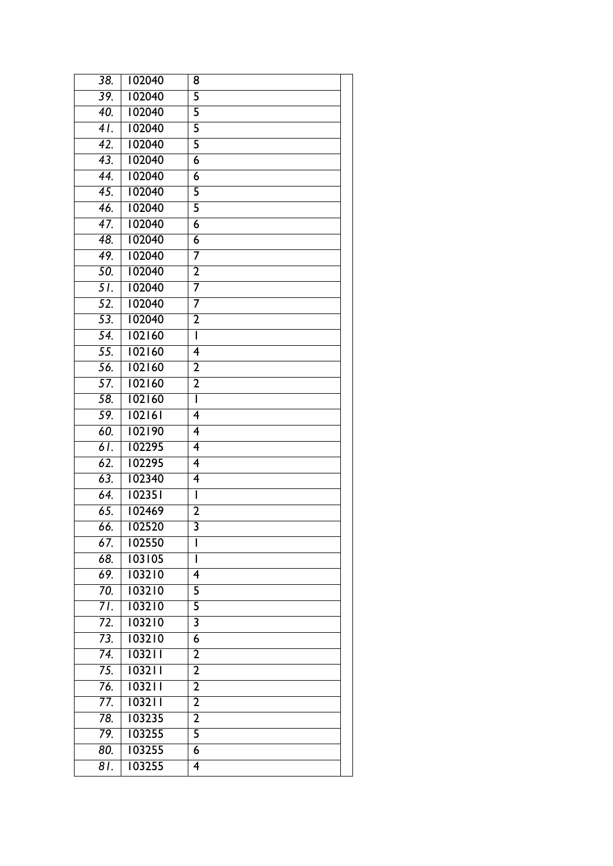| $\overline{38}$ . | 102040 | 8                       |
|-------------------|--------|-------------------------|
| 39.               | 102040 | 5                       |
| $\overline{40}$ . | 102040 | $\overline{\mathsf{5}}$ |
| $\overline{41}$ . | 102040 | $\overline{\mathsf{5}}$ |
| 42.               | 102040 | 5                       |
| $\overline{43}$ . | 102040 | $\overline{6}$          |
| 44.               | 102040 | $\overline{6}$          |
| $\overline{45}$ . | 102040 | 5                       |
| 46.               | 102040 | $\overline{5}$          |
| $\overline{47}$ . | 102040 | $\overline{6}$          |
| 48.               | 102040 | 6                       |
| 49.               | 102040 | 7                       |
| 50.               | 102040 | $\overline{2}$          |
| $\overline{51}$   | 102040 | 7                       |
| $\overline{52}$ . | 102040 | 7                       |
| 53.               | 102040 | $\overline{2}$          |
| 54.               | 102160 | Ī                       |
| 55.               | 102160 | 4                       |
| 56.               | 102160 | $\overline{2}$          |
| 57.               | 102160 | $\overline{2}$          |
| 58.               | 102160 | I                       |
| 59.               | 102161 | $\overline{4}$          |
| 60.               | 102190 | 4                       |
| 61.               | 102295 | $\overline{\mathbf{4}}$ |
| 62.               | 102295 | $\overline{4}$          |
| 63.               | 102340 | $\overline{4}$          |
| 64.               | 102351 | Ī                       |
| 65.               | 102469 | $\overline{2}$          |
| 66.               | 102520 | $\overline{\mathbf{3}}$ |
| 67.               | 102550 | ı                       |
| 68.               | 103105 | $\overline{1}$          |
| 69.               | 103210 | 4                       |
| $\overline{70}$ . | 103210 | 5                       |
| 71.               | 103210 | 5                       |
| 72.               | 103210 | 3                       |
| 73.               | 103210 | $\overline{6}$          |
| 74.               | 103211 | $\overline{2}$          |
| 75.               | 103211 | $\overline{2}$          |
| 76.               | 103211 | $\overline{2}$          |
| 77.               | 103211 | $\overline{2}$          |
| 78.               | 103235 | $\overline{2}$          |
| 79.               | 103255 | 5                       |
| 80.               | 103255 | $\overline{6}$          |
| 81.               | 103255 | 4                       |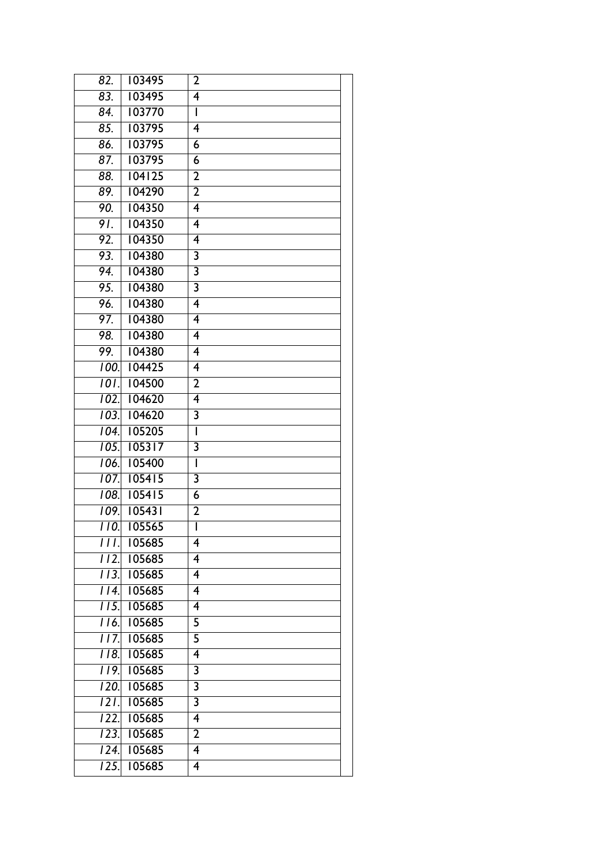| 82.                | 103495 | $\overline{2}$           |
|--------------------|--------|--------------------------|
| 83.                | 103495 | $\overline{4}$           |
| $\overline{84}$    | 103770 | I                        |
| 85.                | 103795 | $\overline{4}$           |
| $\overline{86}$ .  | 103795 | 6                        |
| 87.                | 103795 | $\overline{6}$           |
| 88.                | 104125 | $\overline{2}$           |
| 89.                | 104290 | $\overline{2}$           |
| 90.                | 104350 | 4                        |
| 91.                | 104350 | 4                        |
| 92.                | 104350 | 4                        |
| 93.                | 104380 | $\overline{\mathbf{3}}$  |
| 94.                | 104380 | $\overline{\mathbf{3}}$  |
| 95.                | 104380 | $\overline{\mathbf{3}}$  |
| 96.                | 104380 | 4                        |
| 97.                | 104380 | $\overline{4}$           |
| 98.                | 104380 | 4                        |
| 99.                | 104380 | $\overline{4}$           |
| 100.               | 104425 | $\overline{4}$           |
| $\overline{101}$ . | 104500 | $\overline{2}$           |
| 102.               | 104620 | $\overline{4}$           |
| 103.               | 104620 | $\overline{\mathbf{3}}$  |
| 104.               | 105205 | I                        |
| $\overline{105}$ . | 105317 | 3                        |
| 106.               | 105400 | $\overline{\phantom{a}}$ |
| 107.               | 105415 | $\overline{\mathbf{3}}$  |
| 108.               | 105415 | 6                        |
| 109.               | 105431 | $\overline{2}$           |
| TTO.               | 105565 | Ī                        |
| HI.                | 105685 | 4                        |
| $11\overline{2}$   | 105685 | $\overline{4}$           |
| II3.               | 105685 | 4                        |
| $\overline{114}$   | 105685 | $\overline{\mathbf{4}}$  |
| TT 5.              | 105685 | 4                        |
| I 16.              | 105685 | 5                        |
| $\overline{117}$ . | 105685 | 5                        |
| II8.               | 105685 | 4                        |
| 119.               | 105685 | 3                        |
| $\overline{120}$ . | 105685 | $\overline{\mathbf{3}}$  |
| $\overline{121}$   | 105685 | 3                        |
| $\overline{122}$ . | 105685 | 4                        |
| 123.               | 105685 | $\overline{2}$           |
| $\overline{124}$ . | 105685 | 4                        |
| $\overline{125}$ . | 105685 | 4                        |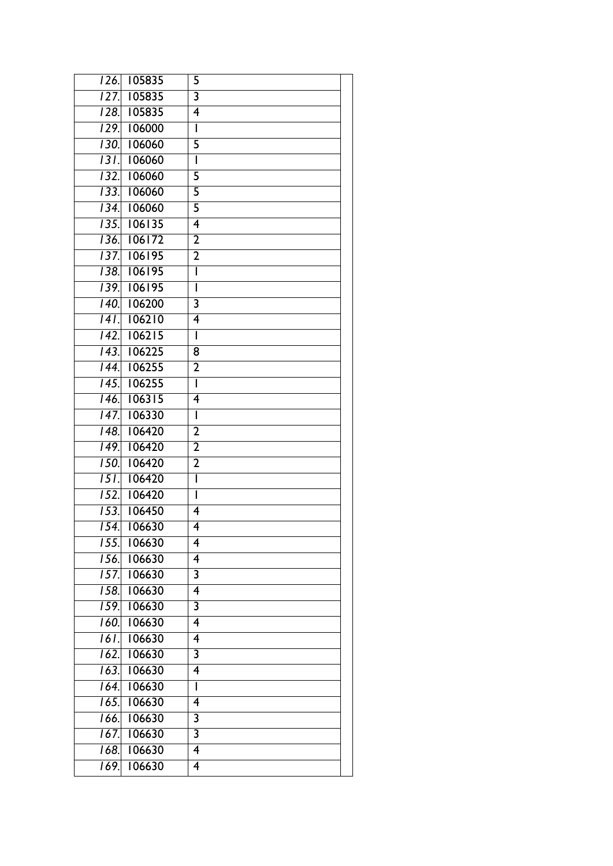| 105835<br>$\overline{126}$ . | 5                        |
|------------------------------|--------------------------|
| 105835<br>$\overline{127}$ . | $\overline{\mathbf{3}}$  |
| 105835<br>128.               | 4                        |
| 106000<br>129.               | $\mathsf{I}$             |
| 106060<br>130.               | 5                        |
| <u>131.</u><br>106060        | $\mathsf{I}$             |
| 132.<br>106060               | 5                        |
| 133.<br>106060               | 5                        |
| $\overline{134}$ .<br>106060 | $\overline{5}$           |
| 106135<br>135.               | 4                        |
| 106172<br>136.               | $\overline{2}$           |
| 106195<br>137.               | $\overline{2}$           |
| 106195<br>138.               | Ī                        |
| 106195<br>139.               | Ī                        |
| 106200<br>140.               | $\overline{\mathbf{3}}$  |
| 106210<br>141.               | $\overline{4}$           |
| 106215<br>$\overline{142}$ . | ī                        |
| 106225<br>$\overline{143}$ . | 8                        |
| 106255<br>$\overline{144}$ . | $\overline{2}$           |
| 106255<br>145.               | $\mathbf{I}$             |
| 106315<br>$\overline{146}$   | 4                        |
| 106330<br>$\overline{147}$ . | $\overline{\phantom{a}}$ |
| 106420<br>$\overline{148}$ . | $\overline{2}$           |
| 106420<br>$\overline{149}$ . | $\overline{2}$           |
| 150.<br>106420               | $\overline{2}$           |
| $\overline{151}$ .<br>106420 | Ī                        |
| 152.<br>106420               | I                        |
| 153.<br>106450               | $\overline{4}$           |
| 106630<br>154.               | 4                        |
| 106630<br>155.               | 4                        |
| $\overline{156}$ .<br>106630 | $\overline{4}$           |
| 106630<br>157.               | 3                        |
| 106630<br>158.               | 4                        |
| <u>159.</u><br>106630        | 3                        |
| 160.<br>106630               | 4                        |
| 16I.<br>106630               | 4                        |
| $\overline{162}$ .<br>106630 | $\overline{\mathbf{3}}$  |
| 106630<br>163.               | 4                        |
| 106630<br>164.               | I                        |
| 106630<br>$\overline{165}$ . | $\overline{\mathbf{4}}$  |
| 106630<br>166.               | $\overline{\mathbf{3}}$  |
| 106630<br>167.               | 3                        |
| 106630<br>168.               | 4                        |
| 106630<br>169.               | 4                        |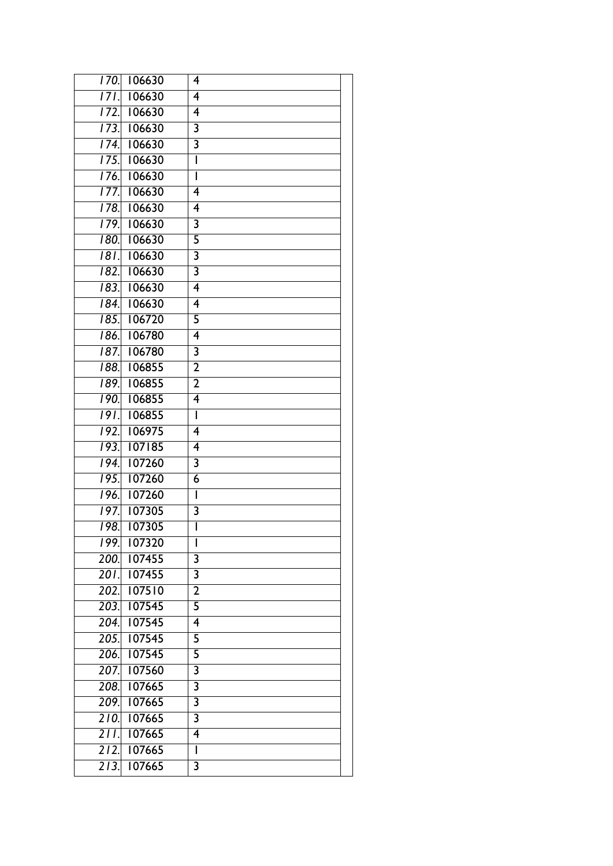| 170.               | 106630 | 4                        |
|--------------------|--------|--------------------------|
| $17\overline{1}$   | 106630 | 4                        |
| $\overline{172}$ . | 106630 | 4                        |
| $\overline{173}$ . | 106630 | $\overline{\mathbf{3}}$  |
| $\overline{174}$ . | 106630 | $\overline{\mathbf{3}}$  |
| 175.               | 106630 | Ī                        |
| 176.               | 106630 | ī                        |
| 177.               | 106630 | $\overline{4}$           |
| 178.               | 106630 | $\overline{4}$           |
| 179.               | 106630 | $\overline{\mathbf{3}}$  |
| 180.               | 106630 | 5                        |
| 18T.               | 106630 | $\overline{\mathbf{3}}$  |
| 182.               | 106630 | $\overline{\mathbf{3}}$  |
| 183.               | 106630 | 4                        |
| 184.               | 106630 | $\overline{4}$           |
| 185.               | 106720 | $\overline{5}$           |
| 186.               | 106780 | 4                        |
| 187.               | 106780 | 3                        |
| 188.               | 106855 | $\overline{2}$           |
| 189.               | 106855 | $\overline{2}$           |
| 190.               | 106855 | $\overline{4}$           |
| $\overline{191}$   | 106855 | $\overline{\phantom{a}}$ |
| 192.               | 106975 | 4                        |
| 193.               | 107185 | 4                        |
| $\overline{194}$   | 107260 | $\overline{3}$           |
| 195.               | 107260 | $\overline{6}$           |
| 196.               | 107260 | $\overline{1}$           |
| 197.               | 107305 | $\overline{\mathbf{3}}$  |
| 198.               | 107305 | Ī                        |
| 199.               | 107320 | I                        |
| 200.               | 107455 | $\overline{\mathbf{3}}$  |
| 201.               | 107455 | 3                        |
| 202.               | 107510 | $\overline{2}$           |
| 203.               | 107545 | 5                        |
| 204.               | 107545 | $\overline{\mathbf{4}}$  |
| 205.               | 107545 | 5                        |
| 206.               | 107545 | 5                        |
| 207.               | 107560 | $\overline{\mathbf{3}}$  |
| 208.               | 107665 | $\overline{\mathbf{3}}$  |
| 209.               | 107665 | 3                        |
| 210.               | 107665 | $\overline{\mathbf{3}}$  |
| $\overline{211}$ . | 107665 | 4                        |
| 212.               | 107665 | Ī                        |
| 213.               | 107665 | 3                        |